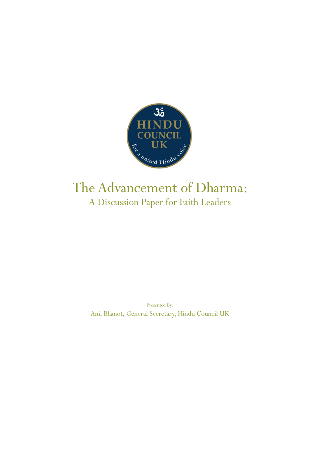

## The Advancement of Dharma: A Discussion Paper for Faith Leaders

Presented By: Anil Bhanot, General Secretary, Hindu Council UK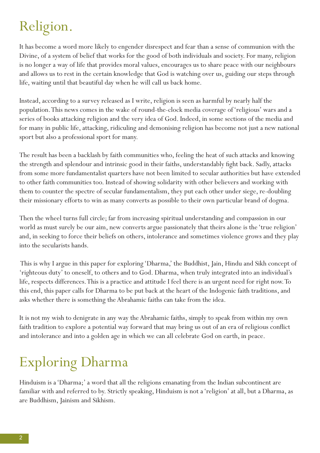# Religion.

It has become a word more likely to engender disrespect and fear than a sense of communion with the Divine, of a system of belief that works for the good of both individuals and society. For many, religion is no longer a way of life that provides moral values, encourages us to share peace with our neighbours and allows us to rest in the certain knowledge that God is watching over us, guiding our steps through life, waiting until that beautiful day when he will call us back home.

Instead, according to a survey released as I write, religion is seen as harmful by nearly half the population. This news comes in the wake of round-the-clock media coverage of 'religious' wars and a series of books attacking religion and the very idea of God. Indeed, in some sections of the media and for many in public life, attacking, ridiculing and demonising religion has become not just a new national sport but also a professional sport for many.

The result has been a backlash by faith communities who, feeling the heat of such attacks and knowing the strength and splendour and intrinsic good in their faiths, understandably fight back. Sadly, attacks from some more fundamentalist quarters have not been limited to secular authorities but have extended to other faith communities too. Instead of showing solidarity with other believers and working with them to counter the spectre of secular fundamentalism, they put each other under siege, re-doubling their missionary efforts to win as many converts as possible to their own particular brand of dogma.

Then the wheel turns full circle; far from increasing spiritual understanding and compassion in our world as must surely be our aim, new converts argue passionately that theirs alone is the 'true religion' and, in seeking to force their beliefs on others, intolerance and sometimes violence grows and they play into the secularists hands.

 This is why I argue in this paper for exploring 'Dharma,' the Buddhist, Jain, Hindu and Sikh concept of 'righteous duty' to oneself, to others and to God. Dharma, when truly integrated into an individual's life, respects differences. This is a practice and attitude I feel there is an urgent need for right now. To this end, this paper calls for Dharma to be put back at the heart of the Indogenic faith traditions, and asks whether there is something the Abrahamic faiths can take from the idea.

It is not my wish to denigrate in any way the Abrahamic faiths, simply to speak from within my own faith tradition to explore a potential way forward that may bring us out of an era of religious conflict and intolerance and into a golden age in which we can all celebrate God on earth, in peace.

# Exploring Dharma

Hinduism is a 'Dharma;' a word that all the religions emanating from the Indian subcontinent are familiar with and referred to by. Strictly speaking, Hinduism is not a 'religion' at all, but a Dharma, as are Buddhism, Jainism and Sikhism.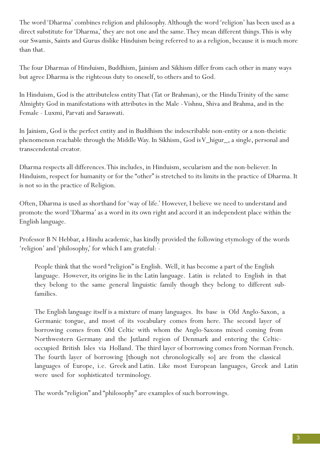The word 'Dharma' combines religion and philosophy. Although the word 'religion' has been used as a direct substitute for 'Dharma,' they are not one and the same. They mean different things. This is why our Swamis, Saints and Gurus dislike Hinduism being referred to as a religion, because it is much more than that.

The four Dharmas of Hinduism, Buddhism, Jainism and Sikhism differ from each other in many ways but agree Dharma is the righteous duty to oneself, to others and to God.

In Hinduism, God is the attributeless entity That (Tat or Brahman), or the Hindu Trinity of the same Almighty God in manifestations with attributes in the Male - Vishnu, Shiva and Brahma, and in the Female - Luxmi, Parvati and Saraswati.

In Jainism, God is the perfect entity and in Buddhism the indescribable non-entity or a non-theistic phenomenon reachable through the Middle Way. In Sikhism, God is V\_higur\_, a single, personal and transcendental creator.

Dharma respects all differences. This includes, in Hinduism, secularism and the non-believer. In Hinduism, respect for humanity or for the "other" is stretched to its limits in the practice of Dharma. It is not so in the practice of Religion.

Often, Dharma is used as shorthand for 'way of life.' However, I believe we need to understand and promote the word 'Dharma' as a word in its own right and accord it an independent place within the English language.

Professor B N Hebbar, a Hindu academic, has kindly provided the following etymology of the words 'religion' and 'philosophy,' for which I am grateful: -

People think that the word "religion" is English. Well, it has become a part of the English language. However, its origins lie in the Latin language. Latin is related to English in that they belong to the same general linguistic family though they belong to different subfamilies.

The English language itself is a mixture of many languages. Its base is Old Anglo-Saxon, a Germanic tongue, and most of its vocabulary comes from here. The second layer of borrowing comes from Old Celtic with whom the Anglo-Saxons mixed coming from Northwestern Germany and the Jutland region of Denmark and entering the Celticoccupied British Isles via Holland. The third layer of borrowing comes from Norman French. The fourth layer of borrowing [though not chronologically so] are from the classical languages of Europe, i.e. Greek and Latin. Like most European languages, Greek and Latin were used for sophisticated terminology.

The words "religion" and "philosophy" are examples of such borrowings.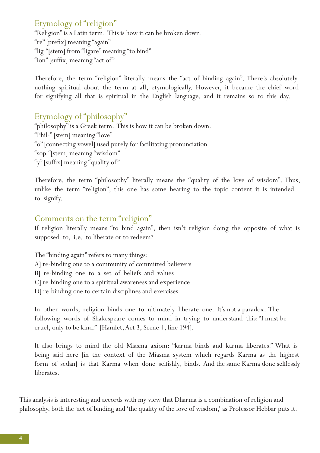#### Etymology of "religion"

"Religion" is a Latin term. This is how it can be broken down. "re" [prefix] meaning "again" "lig-"[stem] from "ligare" meaning "to bind" "ion" [suffix] meaning "act of"

Therefore, the term "religion" literally means the "act of binding again". There's absolutely nothing spiritual about the term at all, etymologically. However, it became the chief word for signifying all that is spiritual in the English language, and it remains so to this day.

#### Etymology of "philosophy"

"philosophy" is a Greek term. This is how it can be broken down. "Phil-" [stem] meaning "love" "o" [connecting vowel] used purely for facilitating pronunciation "sop-"[stem] meaning "wisdom" "y" [suffix] meaning "quality of"

Therefore, the term "philosophy" literally means the "quality of the love of wisdom". Thus, unlike the term "religion", this one has some bearing to the topic content it is intended to signify.

#### Comments on the term "religion"

If religion literally means "to bind again", then isn't religion doing the opposite of what is supposed to, i.e. to liberate or to redeem?

The "binding again" refers to many things: A] re-binding one to a community of committed believers B] re-binding one to a set of beliefs and values C] re-binding one to a spiritual awareness and experience

D] re-binding one to certain disciplines and exercises

In other words, religion binds one to ultimately liberate one. It's not a paradox. The following words of Shakespeare comes to mind in trying to understand this: "I must be cruel, only to be kind." [Hamlet, Act 3, Scene 4, line 194].

It also brings to mind the old Miasma axiom: "karma binds and karma liberates." What is being said here [in the context of the Miasma system which regards Karma as the highest form of sedan] is that Karma when done selfishly, binds. And the same Karma done selflessly liberates.

This analysis is interesting and accords with my view that Dharma is a combination of religion and philosophy, both the 'act of binding and 'the quality of the love of wisdom,' as Professor Hebbar puts it.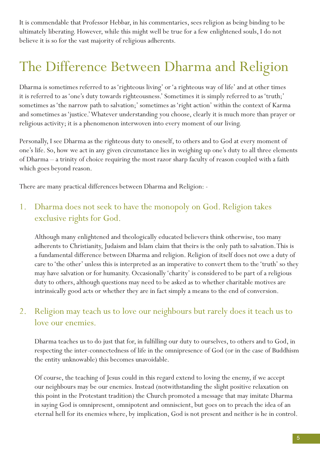It is commendable that Professor Hebbar, in his commentaries, sees religion as being binding to be ultimately liberating. However, while this might well be true for a few enlightened souls, I do not believe it is so for the vast majority of religious adherents.

# The Difference Between Dharma and Religion

Dharma is sometimes referred to as 'righteous living' or 'a righteous way of life' and at other times it is referred to as 'one's duty towards righteousness.' Sometimes it is simply referred to as 'truth;' sometimes as 'the narrow path to salvation;' sometimes as 'right action' within the context of Karma and sometimes as 'justice.' Whatever understanding you choose, clearly it is much more than prayer or religious activity; it is a phenomenon interwoven into every moment of our living.

Personally, I see Dharma as the righteous duty to oneself, to others and to God at every moment of one's life. So, how we act in any given circumstance lies in weighing up one's duty to all three elements of Dharma – a trinity of choice requiring the most razor sharp faculty of reason coupled with a faith which goes beyond reason.

There are many practical differences between Dharma and Religion: -

#### 1. Dharma does not seek to have the monopoly on God. Religion takes exclusive rights for God.

Although many enlightened and theologically educated believers think otherwise, too many adherents to Christianity, Judaism and Islam claim that theirs is the only path to salvation. This is a fundamental difference between Dharma and religion. Religion of itself does not owe a duty of care to 'the other' unless this is interpreted as an imperative to convert them to the 'truth' so they may have salvation or for humanity. Occasionally 'charity' is considered to be part of a religious duty to others, although questions may need to be asked as to whether charitable motives are intrinsically good acts or whether they are in fact simply a means to the end of conversion.

#### 2. Religion may teach us to love our neighbours but rarely does it teach us to love our enemies.

Dharma teaches us to do just that for, in fulfilling our duty to ourselves, to others and to God, in respecting the inter-connectedness of life in the omnipresence of God (or in the case of Buddhism the entity unknowable) this becomes unavoidable.

Of course, the teaching of Jesus could in this regard extend to loving the enemy, if we accept our neighbours may be our enemies. Instead (notwithstanding the slight positive relaxation on this point in the Protestant tradition) the Church promoted a message that may imitate Dharma in saying God is omnipresent, omnipotent and omniscient, but goes on to preach the idea of an eternal hell for its enemies where, by implication, God is not present and neither is he in control.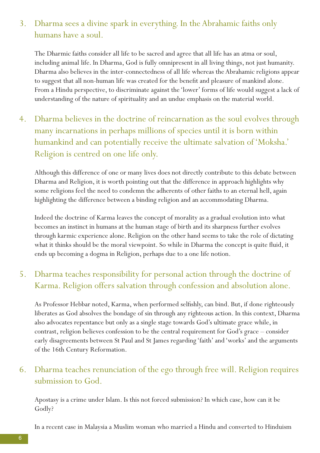#### 3. Dharma sees a divine spark in everything. In the Abrahamic faiths only humans have a soul.

The Dharmic faiths consider all life to be sacred and agree that all life has an atma or soul, including animal life. In Dharma, God is fully omnipresent in all living things, not just humanity. Dharma also believes in the inter-connectedness of all life whereas the Abrahamic religions appear to suggest that all non-human life was created for the benefit and pleasure of mankind alone. From a Hindu perspective, to discriminate against the 'lower' forms of life would suggest a lack of understanding of the nature of spirituality and an undue emphasis on the material world.

4. Dharma believes in the doctrine of reincarnation as the soul evolves through many incarnations in perhaps millions of species until it is born within humankind and can potentially receive the ultimate salvation of 'Moksha.' Religion is centred on one life only.

Although this difference of one or many lives does not directly contribute to this debate between Dharma and Religion, it is worth pointing out that the difference in approach highlights why some religions feel the need to condemn the adherents of other faiths to an eternal hell, again highlighting the difference between a binding religion and an accommodating Dharma.

Indeed the doctrine of Karma leaves the concept of morality as a gradual evolution into what becomes an instinct in humans at the human stage of birth and its sharpness further evolves through karmic experience alone. Religion on the other hand seems to take the role of dictating what it thinks should be the moral viewpoint. So while in Dharma the concept is quite fluid, it ends up becoming a dogma in Religion, perhaps due to a one life notion.

#### 5. Dharma teaches responsibility for personal action through the doctrine of Karma. Religion offers salvation through confession and absolution alone.

As Professor Hebbar noted, Karma, when performed selfishly, can bind. But, if done righteously liberates as God absolves the bondage of sin through any righteous action. In this context, Dharma also advocates repentance but only as a single stage towards God's ultimate grace while, in contrast, religion believes confession to be the central requirement for God's grace – consider early disagreements between St Paul and St James regarding 'faith' and 'works' and the arguments of the 16th Century Reformation.

#### 6. Dharma teaches renunciation of the ego through free will. Religion requires submission to God.

Apostasy is a crime under Islam. Is this not forced submission? In which case, how can it be Godly?

In a recent case in Malaysia a Muslim woman who married a Hindu and converted to Hinduism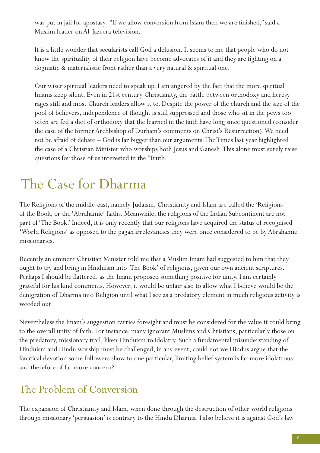was put in jail for apostasy. "If we allow conversion from Islam then we are finished," said a Muslim leader on Al-Jazeera television.

It is a little wonder that secularists call God a delusion. It seems to me that people who do not know the spirituality of their religion have become advocates of it and they are fighting on a dogmatic & materialistic front rather than a very natural & spiritual one.

Our wiser spiritual leaders need to speak up. I am angered by the fact that the more spiritual Imams keep silent. Even in 21st century Christianity, the battle between orthodoxy and heresy rages still and most Church leaders allow it to. Despite the power of the church and the size of the pool of believers, independence of thought is still suppressed and those who sit in the pews too often are fed a diet of orthodoxy that the learned in the faith have long since questioned (consider the case of the former Archbishop of Durham's comments on Christ's Resurrection). We need not be afraid of debate – God is far bigger than our arguments. The Times last year highlighted the case of a Christian Minister who worships both Jesus and Ganesh. This alone must surely raise questions for those of us interested in the 'Truth.'

# The Case for Dharma

The Religions of the middle-east, namely Judaism, Christianity and Islam are called the 'Religions of the Book, or the 'Abrahamic' faiths. Meanwhile, the religions of the Indian Subcontinent are not part of 'The Book.' Indeed, it is only recently that our religions have acquired the status of recognised 'World Religions' as opposed to the pagan irrelevancies they were once considered to be by Abrahamic missionaries.

Recently an eminent Christian Minister told me that a Muslim Imam had suggested to him that they ought to try and bring in Hinduism into 'The Book' of religions, given our own ancient scriptures. Perhaps I should be flattered, as the Imam proposed something positive for unity. I am certainly grateful for his kind comments. However, it would be unfair also to allow what I believe would be the denigration of Dharma into Religion until what I see as a predatory element in much religious activity is weeded out.

Nevertheless the Imam's suggestion carries foresight and must be considered for the value it could bring to the overall unity of faith. For instance, many ignorant Muslims and Christians, particularly those on the predatory, missionary trail, liken Hinduism to idolatry. Such a fundamental misunderstanding of Hinduism and Hindu worship must be challenged; in any event, could not we Hindus argue that the fanatical devotion some followers show to one particular, limiting belief system is far more idolatrous and therefore of far more concern?

### The Problem of Conversion

The expansion of Christianity and Islam, when done through the destruction of other world religions through missionary 'persuasion' is contrary to the Hindu Dharma. I also believe it is against God's law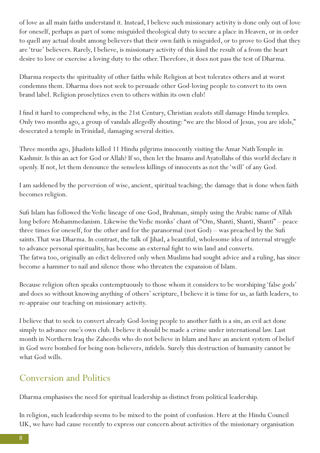of love as all main faiths understand it. Instead, I believe such missionary activity is done only out of love for oneself, perhaps as part of some misguided theological duty to secure a place in Heaven, or in order to quell any actual doubt among believers that their own faith is misguided, or to prove to God that they are 'true' believers. Rarely, I believe, is missionary activity of this kind the result of a from the heart desire to love or exercise a loving duty to the other. Therefore, it does not pass the test of Dharma.

Dharma respects the spirituality of other faiths while Religion at best tolerates others and at worst condemns them. Dharma does not seek to persuade other God-loving people to convert to its own brand label. Religion proselytizes even to others within its own club!

I find it hard to comprehend why, in the 21st Century, Christian zealots still damage Hindu temples. Only two months ago, a group of vandals allegedly shouting: "we are the blood of Jesus, you are idols," desecrated a temple in Trinidad, damaging several deities.

Three months ago, Jihadists killed 11 Hindu pilgrims innocently visiting the Amar Nath Temple in Kashmir. Is this an act for God or Allah? If so, then let the Imams and Ayatollahs of this world declare it openly. If not, let them denounce the senseless killings of innocents as not the 'will' of any God.

I am saddened by the perversion of wise, ancient, spiritual teaching; the damage that is done when faith becomes religion.

Sufi Islam has followed the Vedic lineage of one God, Brahman, simply using the Arabic name of Allah long before Mohammedanism. Likewise the Vedic monks' chant of "Om, Shanti, Shanti, Shanti" – peace three times for oneself, for the other and for the paranormal (not God) – was preached by the Sufi saints. That was Dharma. In contrast, the talk of Jihad, a beautiful, wholesome idea of internal struggle to advance personal spirituality, has become an external fight to win land and converts. The fatwa too, originally an edict delivered only when Muslims had sought advice and a ruling, has since become a hammer to nail and silence those who threaten the expansion of Islam.

Because religion often speaks contemptuously to those whom it considers to be worshiping 'false gods' and does so without knowing anything of others' scripture, I believe it is time for us, as faith leaders, to re-appraise our teaching on missionary activity.

I believe that to seek to convert already God-loving people to another faith is a sin, an evil act done simply to advance one's own club. I believe it should be made a crime under international law. Last month in Northern Iraq the Zaheedis who do not believe in Islam and have an ancient system of belief in God were bombed for being non-believers, infidels. Surely this destruction of humanity cannot be what God wills.

#### Conversion and Politics

Dharma emphasises the need for spiritual leadership as distinct from political leadership.

In religion, such leadership seems to be mixed to the point of confusion. Here at the Hindu Council UK, we have had cause recently to express our concern about activities of the missionary organisation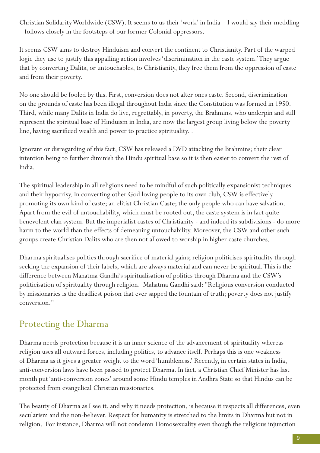Christian Solidarity Worldwide (CSW). It seems to us their 'work' in India – I would say their meddling – follows closely in the footsteps of our former Colonial oppressors.

It seems CSW aims to destroy Hinduism and convert the continent to Christianity. Part of the warped logic they use to justify this appalling action involves 'discrimination in the caste system.' They argue that by converting Dalits, or untouchables, to Christianity, they free them from the oppression of caste and from their poverty.

No one should be fooled by this. First, conversion does not alter ones caste. Second, discrimination on the grounds of caste has been illegal throughout India since the Constitution was formed in 1950. Third, while many Dalits in India do live, regrettably, in poverty, the Brahmins, who underpin and still represent the spiritual base of Hinduism in India, are now the largest group living below the poverty line, having sacrificed wealth and power to practice spirituality. .

Ignorant or disregarding of this fact, CSW has released a DVD attacking the Brahmins; their clear intention being to further diminish the Hindu spiritual base so it is then easier to convert the rest of India.

The spiritual leadership in all religions need to be mindful of such politically expansionist techniques and their hypocrisy. In converting other God loving people to its own club, CSW is effectively promoting its own kind of caste; an elitist Christian Caste; the only people who can have salvation. Apart from the evil of untouchability, which must be rooted out, the caste system is in fact quite benevolent clan system. But the imperialist castes of Christianity - and indeed its subdivisions - do more harm to the world than the effects of demeaning untouchability. Moreover, the CSW and other such groups create Christian Dalits who are then not allowed to worship in higher caste churches.

Dharma spiritualises politics through sacrifice of material gains; religion politicises spirituality through seeking the expansion of their labels, which are always material and can never be spiritual. This is the difference between Mahatma Gandhi's spiritualisation of politics through Dharma and the CSW's politicisation of spirituality through religion. Mahatma Gandhi said: "Religious conversion conducted by missionaries is the deadliest poison that ever sapped the fountain of truth; poverty does not justify conversion."

### Protecting the Dharma

Dharma needs protection because it is an inner science of the advancement of spirituality whereas religion uses all outward forces, including politics, to advance itself. Perhaps this is one weakness of Dharma as it gives a greater weight to the word 'humbleness.' Recently, in certain states in India, anti-conversion laws have been passed to protect Dharma. In fact, a Christian Chief Minister has last month put 'anti-conversion zones' around some Hindu temples in Andhra State so that Hindus can be protected from evangelical Christian missionaries.

The beauty of Dharma as I see it, and why it needs protection, is because it respects all differences, even secularism and the non-believer. Respect for humanity is stretched to the limits in Dharma but not in religion. For instance, Dharma will not condemn Homosexuality even though the religious injunction